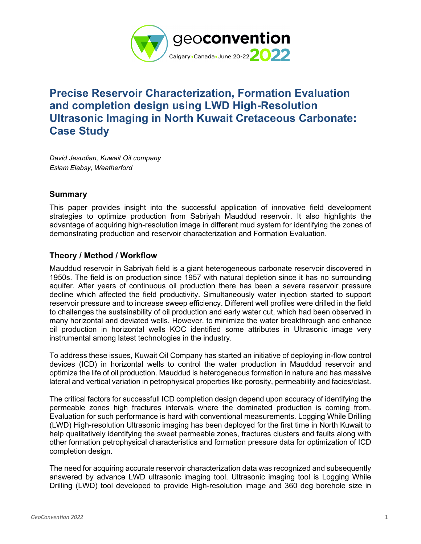

## **Precise Reservoir Characterization, Formation Evaluation and completion design using LWD High-Resolution Ultrasonic Imaging in North Kuwait Cretaceous Carbonate: Case Study**

*David Jesudian, Kuwait Oil company Eslam Elabsy, Weatherford*

## **Summary**

This paper provides insight into the successful application of innovative field development strategies to optimize production from Sabriyah Mauddud reservoir. It also highlights the advantage of acquiring high-resolution image in different mud system for identifying the zones of demonstrating production and reservoir characterization and Formation Evaluation.

## **Theory / Method / Workflow**

Mauddud reservoir in Sabriyah field is a giant heterogeneous carbonate reservoir discovered in 1950s. The field is on production since 1957 with natural depletion since it has no surrounding aquifer. After years of continuous oil production there has been a severe reservoir pressure decline which affected the field productivity. Simultaneously water injection started to support reservoir pressure and to increase sweep efficiency. Different well profiles were drilled in the field to challenges the sustainability of oil production and early water cut, which had been observed in many horizontal and deviated wells. However, to minimize the water breakthrough and enhance oil production in horizontal wells KOC identified some attributes in Ultrasonic image very instrumental among latest technologies in the industry.

To address these issues, Kuwait Oil Company has started an initiative of deploying in-flow control devices (ICD) in horizontal wells to control the water production in Mauddud reservoir and optimize the life of oil production. Mauddud is heterogeneous formation in nature and has massive lateral and vertical variation in petrophysical properties like porosity, permeability and facies/clast.

The critical factors for successfull ICD completion design depend upon accuracy of identifying the permeable zones high fractures intervals where the dominated production is coming from. Evaluation for such performance is hard with conventional measurements. Logging While Drilling (LWD) High-resolution Ultrasonic imaging has been deployed for the first time in North Kuwait to help qualitatively identifying the sweet permeable zones, fractures clusters and faults along with other formation petrophysical characteristics and formation pressure data for optimization of ICD completion design.

The need for acquiring accurate reservoir characterization data was recognized and subsequently answered by advance LWD ultrasonic imaging tool. Ultrasonic imaging tool is Logging While Drilling (LWD) tool developed to provide High-resolution image and 360 deg borehole size in